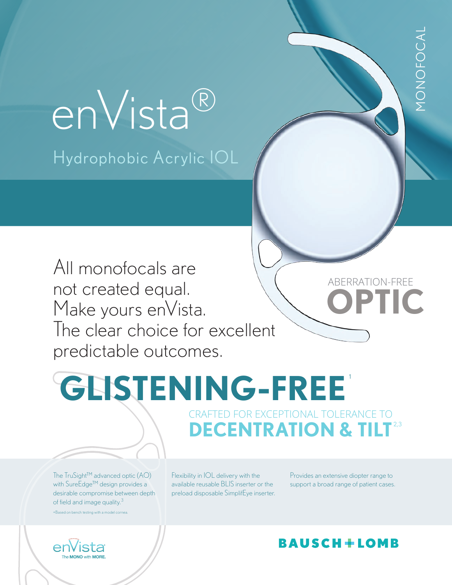# Hydrophobic Acrylic IOL enVista®

All monofocals are not created equal. Make yours enVista. The clear choice for excellent predictable outcomes.

**GLISTENING-FREE** 1 CRAFTED FOR EXCEPTIONAL TOLERANCE TO **DECENTRATION & TILT**<sup>2,3</sup>

The TruSight™ advanced optic (AO) with SureEdge<sup>™</sup> design provides a desirable compromise between depth of field and image quality.<sup>3</sup>

+Based on bench testing with a model cornea.



Flexibility in IOL delivery with the available reusable BLIS inserter or the preload disposable SimplifEye inserter.

Provides an extensive diopter range to support a broad range of patient cases.

**OPTIC**

monofocal

MONOFOCAL

ABERRATION-FREE

## **BAUSCH+LOMB**